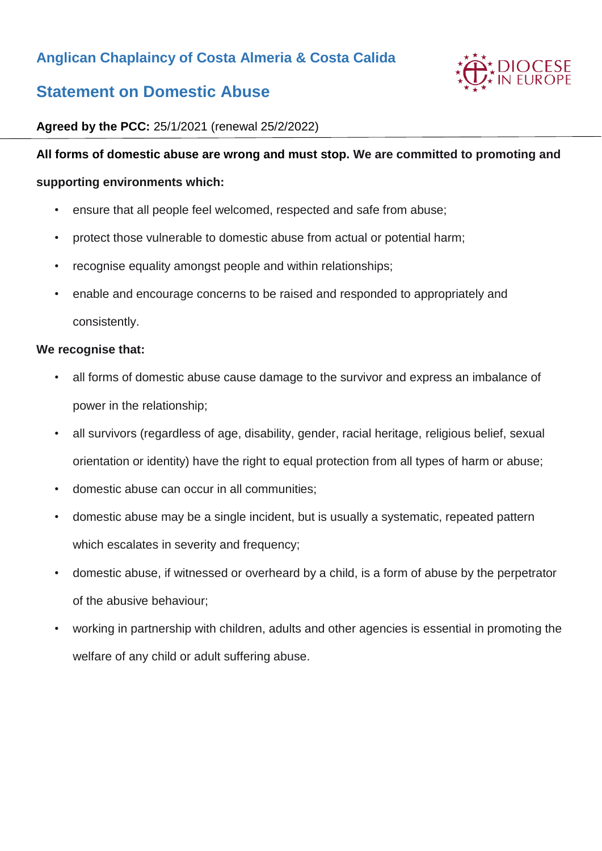# **Anglican Chaplaincy of Costa Almeria & Costa Calida**



# **Statement on Domestic Abuse**

# **Agreed by the PCC:** 25/1/2021 (renewal 25/2/2022)

#### **All forms of domestic abuse are wrong and must stop. We are committed to promoting and**

#### **supporting environments which:**

- ensure that all people feel welcomed, respected and safe from abuse;
- protect those vulnerable to domestic abuse from actual or potential harm;
- recognise equality amongst people and within relationships;
- enable and encourage concerns to be raised and responded to appropriately and consistently.

#### **We recognise that:**

- all forms of domestic abuse cause damage to the survivor and express an imbalance of power in the relationship;
- all survivors (regardless of age, disability, gender, racial heritage, religious belief, sexual orientation or identity) have the right to equal protection from all types of harm or abuse;
- domestic abuse can occur in all communities;
- domestic abuse may be a single incident, but is usually a systematic, repeated pattern which escalates in severity and frequency;
- domestic abuse, if witnessed or overheard by a child, is a form of abuse by the perpetrator of the abusive behaviour;
- working in partnership with children, adults and other agencies is essential in promoting the welfare of any child or adult suffering abuse.